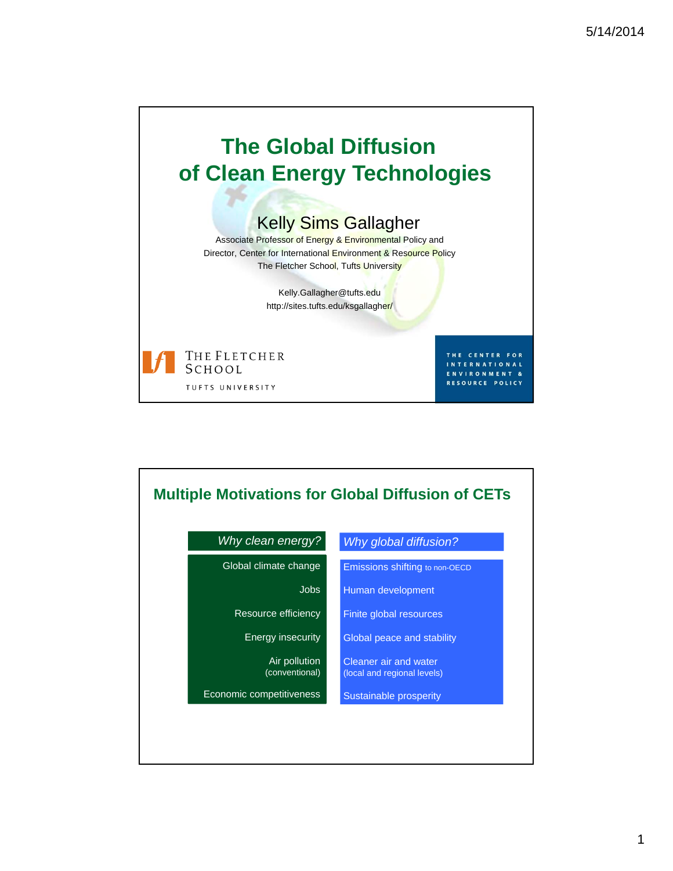

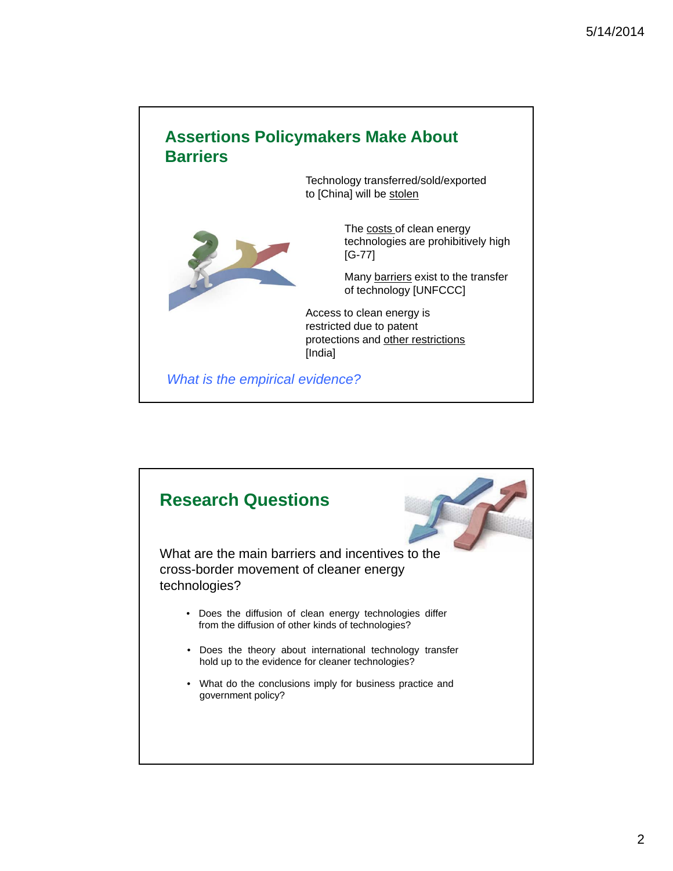

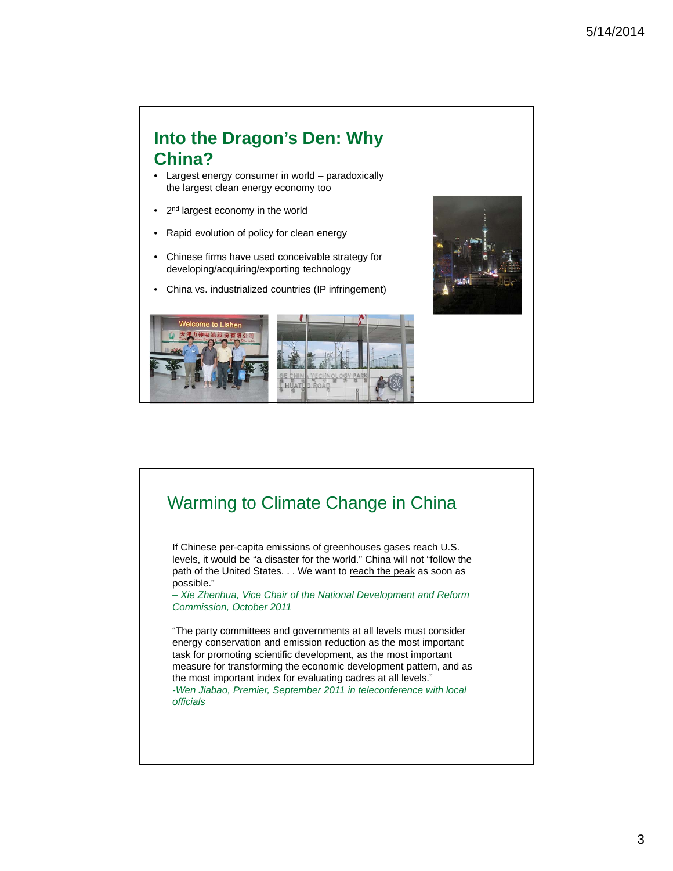#### **Into the Dragon's Den: Why China?**

- Largest energy consumer in world paradoxically the largest clean energy economy too
- 2<sup>nd</sup> largest economy in the world
- Rapid evolution of policy for clean energy
- Chinese firms have used conceivable strategy for developing/acquiring/exporting technology
- China vs. industrialized countries (IP infringement)





### Warming to Climate Change in China If Chinese per-capita emissions of greenhouses gases reach U.S. levels, it would be "a disaster for the world." China will not "follow the path of the United States. . . We want to reach the peak as soon as possible." *– Xie Zhenhua, Vice Chair of the National Development and Reform Commission, October 2011* "The party committees and governments at all levels must consider energy conservation and emission reduction as the most important task for promoting scientific development, as the most important measure for transforming the economic development pattern, and as the most important index for evaluating cadres at all levels." *-Wen Jiabao, Premier, September 2011 in teleconference with local officials*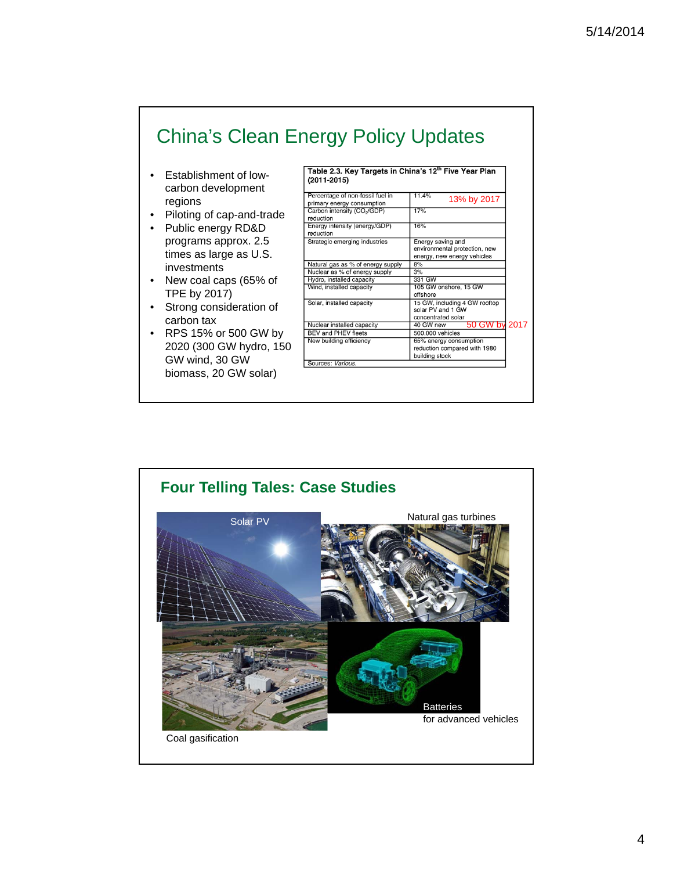# China's Clean Energy Policy Updates

- Establishment of lowcarbon development regions
- Piloting of cap-and-trade
- Public energy RD&D programs approx. 2.5 times as large as U.S. investments
- New coal caps (65% of TPE by 2017)
- Strong consideration of carbon tax
- RPS 15% or 500 GW by 2020 (300 GW hydro, 150 GW wind, 30 GW biomass, 20 GW solar)

| Percentage of non-fossil fuel in<br>primary energy consumption | 11.4%<br>13% by 2017                                                              |      |
|----------------------------------------------------------------|-----------------------------------------------------------------------------------|------|
| Carbon intensity (CO <sub>2</sub> /GDP)<br>reduction           | 17%                                                                               |      |
| Energy intensity (energy/GDP)<br>reduction                     | 16%                                                                               |      |
| Strategic emerging industries                                  | Energy saving and<br>environmental protection, new<br>energy, new energy vehicles |      |
| Natural gas as % of energy supply                              | 8%                                                                                |      |
| Nuclear as % of energy supply                                  | 3%                                                                                |      |
| Hydro, installed capacity                                      | 331 GW                                                                            |      |
| Wind, installed capacity                                       | 105 GW onshore, 15 GW<br>offshore                                                 |      |
| Solar, installed capacity                                      | 15 GW, including 4 GW rooftop<br>solar PV and 1 GW<br>concentrated solar          |      |
| Nuclear installed capacity                                     | 50 GW by<br>40 GW new                                                             | 2017 |
| <b>BEV and PHEV fleets</b>                                     | 500,000 vehicles                                                                  |      |
| New building efficiency                                        | 65% energy consumption<br>reduction compared with 1980<br>building stock          |      |
| Sources: Various.                                              |                                                                                   |      |

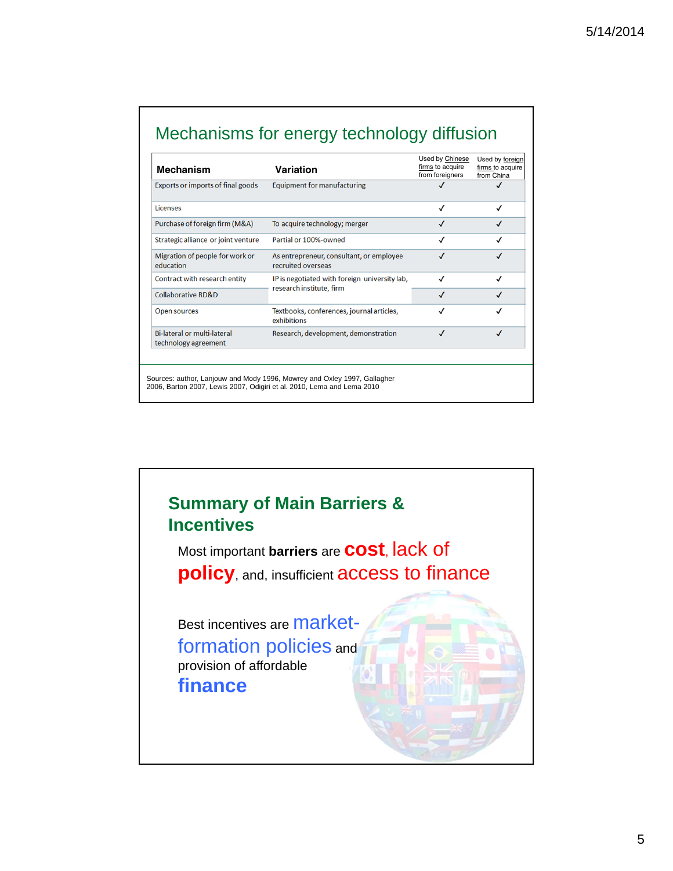## Mechanisms for energy technology diffusion

| <b>Mechanism</b>                                           | Variation                                                                                                                                          | Used by Chinese<br>firms to acquire<br>from foreigners | Used by foreign<br>firms to acquire<br>from China |
|------------------------------------------------------------|----------------------------------------------------------------------------------------------------------------------------------------------------|--------------------------------------------------------|---------------------------------------------------|
| Exports or imports of final goods                          | <b>Equipment for manufacturing</b>                                                                                                                 | √                                                      | √                                                 |
| Licenses                                                   |                                                                                                                                                    | √                                                      | √                                                 |
| Purchase of foreign firm (M&A)                             | To acquire technology; merger                                                                                                                      | √                                                      |                                                   |
| Strategic alliance or joint venture                        | Partial or 100%-owned                                                                                                                              | √                                                      |                                                   |
| Migration of people for work or<br>education               | As entrepreneur, consultant, or employee<br>recruited overseas                                                                                     | √                                                      |                                                   |
| Contract with research entity                              | IP is negotiated with foreign university lab,<br>research institute, firm                                                                          | ✓                                                      | √                                                 |
| Collaborative RD&D                                         |                                                                                                                                                    | J                                                      |                                                   |
| <b>Open sources</b>                                        | Textbooks, conferences, journal articles,<br>exhibitions                                                                                           | $\boldsymbol{J}$                                       |                                                   |
| <b>Bi-lateral or multi-lateral</b><br>technology agreement | Research, development, demonstration                                                                                                               | √                                                      | J                                                 |
|                                                            |                                                                                                                                                    |                                                        |                                                   |
|                                                            | Sources: author, Lanjouw and Mody 1996, Mowrey and Oxley 1997, Gallagher<br>2006, Barton 2007, Lewis 2007, Odigiri et al. 2010, Lema and Lema 2010 |                                                        |                                                   |

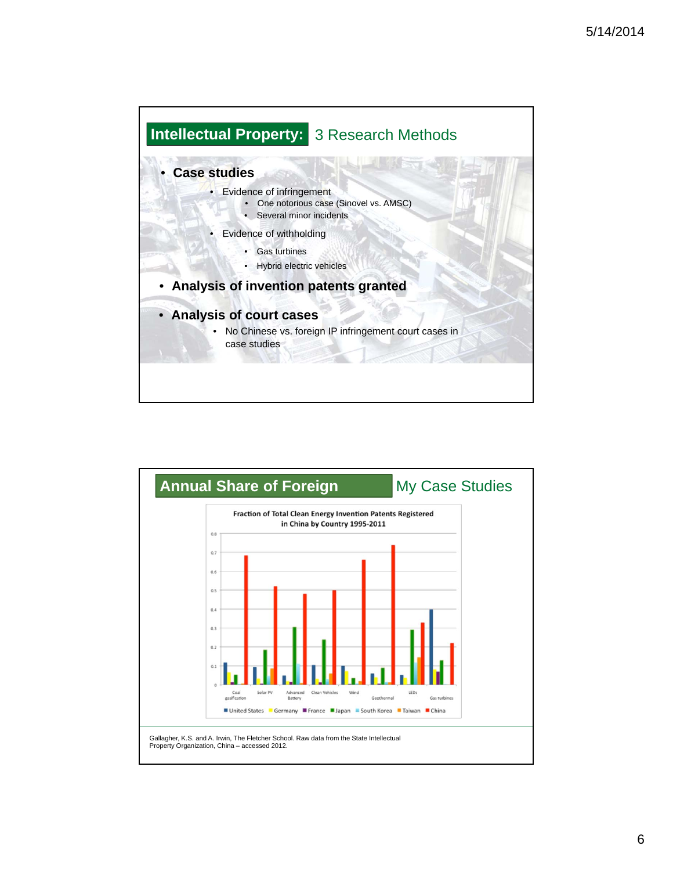

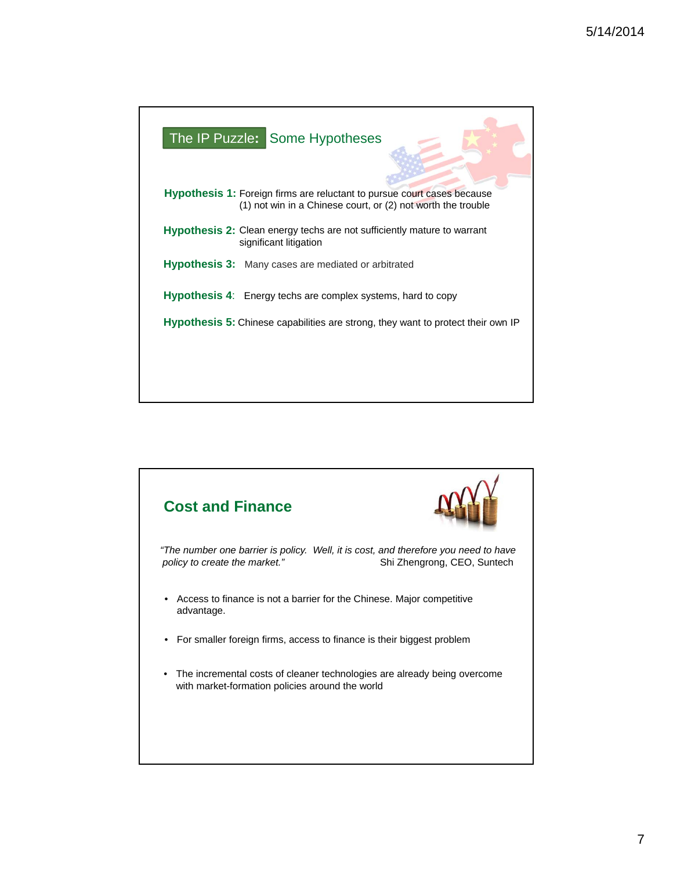| The IP Puzzle: Some Hypotheses                                                                                                                 |
|------------------------------------------------------------------------------------------------------------------------------------------------|
| <b>Hypothesis 1:</b> Foreign firms are reluctant to pursue court cases because<br>(1) not win in a Chinese court, or (2) not worth the trouble |
| <b>Hypothesis 2:</b> Clean energy techs are not sufficiently mature to warrant<br>significant litigation                                       |
| <b>Hypothesis 3:</b> Many cases are mediated or arbitrated                                                                                     |
| <b>Hypothesis 4:</b> Energy techs are complex systems, hard to copy                                                                            |
| <b>Hypothesis 5:</b> Chinese capabilities are strong, they want to protect their own IP                                                        |
|                                                                                                                                                |
|                                                                                                                                                |

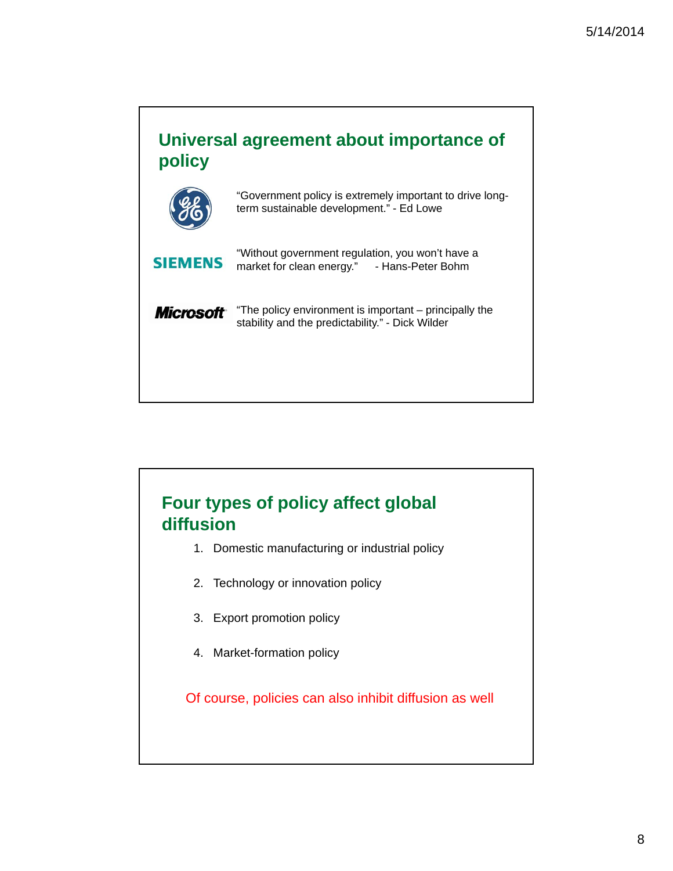

# **Four types of policy affect global diffusion**

- 1. Domestic manufacturing or industrial policy
- 2. Technology or innovation policy
- 3. Export promotion policy
- 4. Market-formation policy

Of course, policies can also inhibit diffusion as well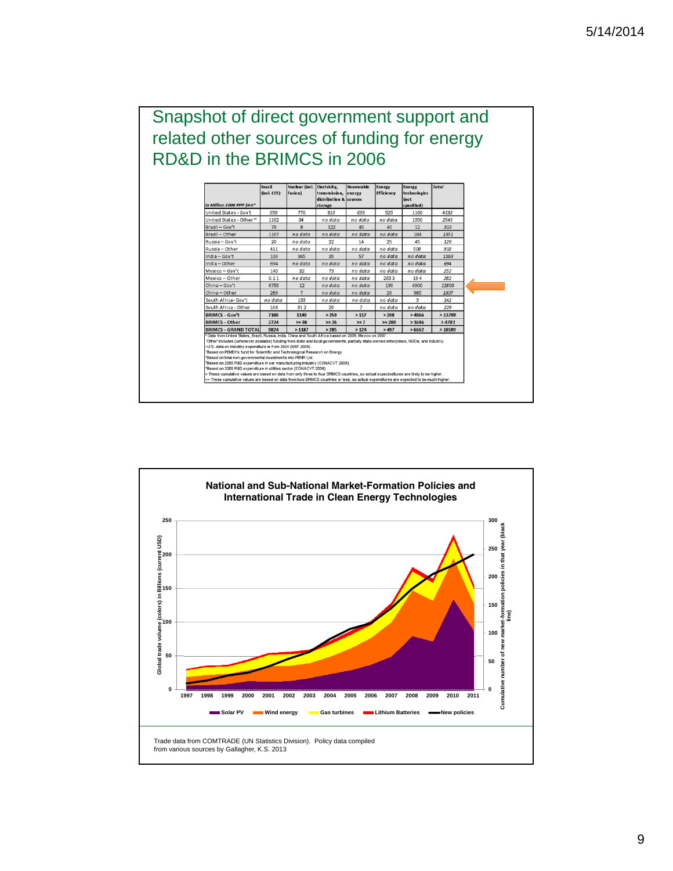### Snapshot of direct government support and related other sources of funding for energy RD&D in the BRIMCS in 2006

| in Million 2008 PPP SInt*                                                                                                                                                                                                                                                                                                                                                                                                                                                                                                                                                                                                                                                                                                                                                            | Fossil<br>$(incl.$ $CCS)$   | Nuclear (incl.<br>fusion) | Electricity,<br>transmission, energy<br>distribution & sources<br>storage | Renewable      | Energy<br><b>Efficiency</b> | Energy<br>technologies<br>(not<br>specified) | <b>Total</b> |  |
|--------------------------------------------------------------------------------------------------------------------------------------------------------------------------------------------------------------------------------------------------------------------------------------------------------------------------------------------------------------------------------------------------------------------------------------------------------------------------------------------------------------------------------------------------------------------------------------------------------------------------------------------------------------------------------------------------------------------------------------------------------------------------------------|-----------------------------|---------------------------|---------------------------------------------------------------------------|----------------|-----------------------------|----------------------------------------------|--------------|--|
| United States - Gov't                                                                                                                                                                                                                                                                                                                                                                                                                                                                                                                                                                                                                                                                                                                                                                | 659                         | 770                       | 319                                                                       | 699            | 525                         | 1160                                         | 4132         |  |
| United States - Other ~                                                                                                                                                                                                                                                                                                                                                                                                                                                                                                                                                                                                                                                                                                                                                              | 1162                        | 34                        | no data                                                                   | no data        | no data                     | 1350                                         | 2545         |  |
| Brazil - Gov't                                                                                                                                                                                                                                                                                                                                                                                                                                                                                                                                                                                                                                                                                                                                                                       | 79                          | 8                         | 122                                                                       | 46             | 46                          | 12                                           | 313          |  |
| Brazil - Other                                                                                                                                                                                                                                                                                                                                                                                                                                                                                                                                                                                                                                                                                                                                                                       | 1167                        | no data                   | no data                                                                   | no data        | no data                     | 184                                          | 1351         |  |
| Russia - Gov't                                                                                                                                                                                                                                                                                                                                                                                                                                                                                                                                                                                                                                                                                                                                                                       | 20                          | no data                   | 22                                                                        | 14             | 25                          | 45                                           | 126          |  |
| Russia - Other                                                                                                                                                                                                                                                                                                                                                                                                                                                                                                                                                                                                                                                                                                                                                                       | 411                         | no data                   | no data                                                                   | no data        | no data                     | 508                                          | 918          |  |
| India - Gov't                                                                                                                                                                                                                                                                                                                                                                                                                                                                                                                                                                                                                                                                                                                                                                        | 106                         | 965                       | 35                                                                        | 57             | no data                     | no data                                      | 1163<br>694  |  |
| India - Other                                                                                                                                                                                                                                                                                                                                                                                                                                                                                                                                                                                                                                                                                                                                                                        | 694<br>no data<br>140<br>32 |                           | no data                                                                   | no data        | no data                     | no data                                      |              |  |
| Mexico - Gov't                                                                                                                                                                                                                                                                                                                                                                                                                                                                                                                                                                                                                                                                                                                                                                       |                             | 79                        | no data                                                                   | no data        | no data                     | 252                                          |              |  |
| Mexico - Other                                                                                                                                                                                                                                                                                                                                                                                                                                                                                                                                                                                                                                                                                                                                                                       | 0.11                        | no data                   | no data                                                                   | no data        | 2633                        | 194                                          | 282          |  |
| China-Gov't                                                                                                                                                                                                                                                                                                                                                                                                                                                                                                                                                                                                                                                                                                                                                                          | 6755                        | 12                        | no data                                                                   | no data        | 136                         | 4900                                         | 11803        |  |
| China-Other                                                                                                                                                                                                                                                                                                                                                                                                                                                                                                                                                                                                                                                                                                                                                                          | 289                         | $\overline{7}$            | no data                                                                   | no data        | 26                          | 985                                          | 1307         |  |
| South Africa- Gov't                                                                                                                                                                                                                                                                                                                                                                                                                                                                                                                                                                                                                                                                                                                                                                  | no data                     | 133                       | no data                                                                   | no data        | no data                     | 9                                            | 142          |  |
| South Africa - Other                                                                                                                                                                                                                                                                                                                                                                                                                                                                                                                                                                                                                                                                                                                                                                 | 164                         | 312                       | 26                                                                        | $\overline{7}$ | no data                     | no data                                      | 229          |  |
| <b>BRIMCS - Gov't</b>                                                                                                                                                                                                                                                                                                                                                                                                                                                                                                                                                                                                                                                                                                                                                                | 7100                        | 1149                      | >259                                                                      | >117           | >208                        | >4966                                        | > 13799      |  |
| <b>BRIMCS - Other</b>                                                                                                                                                                                                                                                                                                                                                                                                                                                                                                                                                                                                                                                                                                                                                                | 2724                        | >> 38                     | >> 26                                                                     | $\gg 7$        | >> 289                      | >1696                                        | >4781        |  |
| <b>BRIMCS - GRAND TOTAL</b>                                                                                                                                                                                                                                                                                                                                                                                                                                                                                                                                                                                                                                                                                                                                                          | 9824                        | >1187                     | >285                                                                      | >124           | >497                        | >6662                                        | >18580       |  |
| * Data from United States, Brazil, Russia, India, China and South Africa based on 2008, Mexico on 2007,<br>'Other' includes (whenever available) funding from state and local governments, partially state-owned enterprises, NGOs, and industry,<br>~U.S. data on industry expenditure is from 2004 (NSF 2008).<br>'Based on PEMEX's fund for Scientific and Technological Research on Energy<br><sup>2</sup> Based on total non-governmental investments into PBMR Ltd.<br><sup>3</sup> Based on 2005 R&D expenditure in car manufacturing industry (CONACYT 2008)<br>4Based on 2005 R&D expenditure in utilities sector (CONACYT 2008)<br>> These cumulative values are based on data from only three to four BRIMCS countries, so actual expecteditures are likely to be higher. |                             |                           |                                                                           |                |                             |                                              |              |  |
| >> These cumulative values are based on data from two BRIMCS countries or less, so actual expenditures are expected to be much higher.                                                                                                                                                                                                                                                                                                                                                                                                                                                                                                                                                                                                                                               |                             |                           |                                                                           |                |                             |                                              |              |  |

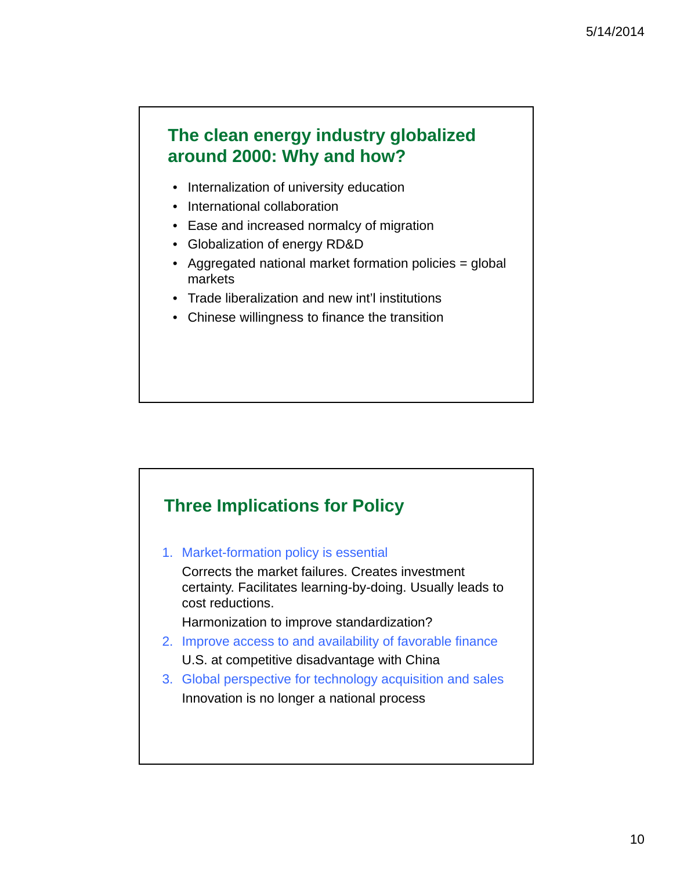### **The clean energy industry globalized around 2000: Why and how?**

- Internalization of university education
- International collaboration
- Ease and increased normalcy of migration
- Globalization of energy RD&D
- Aggregated national market formation policies = global markets
- Trade liberalization and new int'l institutions
- Chinese willingness to finance the transition



1. Market-formation policy is essential

Corrects the market failures. Creates investment certainty. Facilitates learning-by-doing. Usually leads to cost reductions.

Harmonization to improve standardization?

- 2. Improve access to and availability of favorable finance U.S. at competitive disadvantage with China
- 3. Global perspective for technology acquisition and sales Innovation is no longer a national process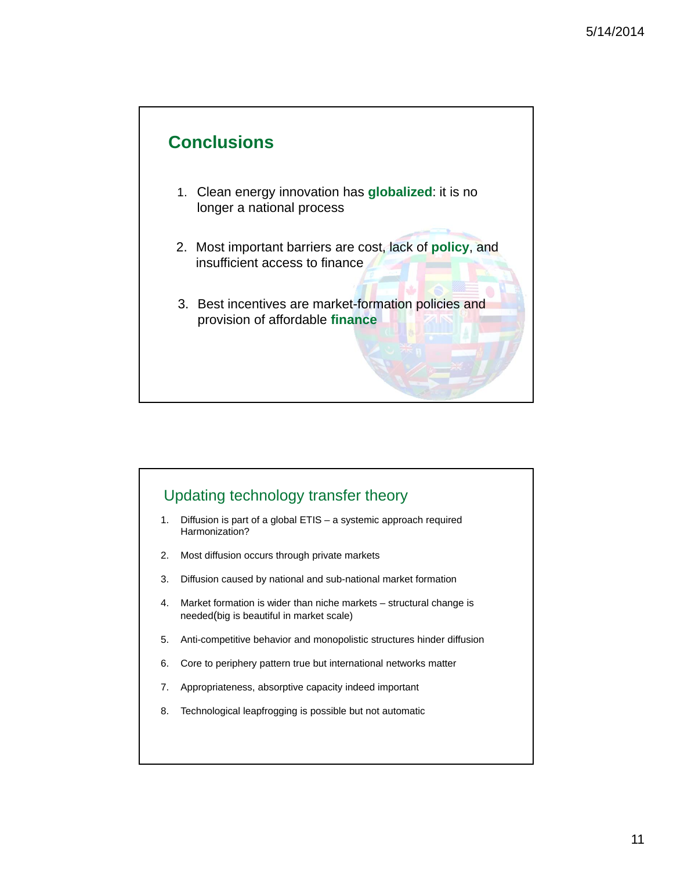